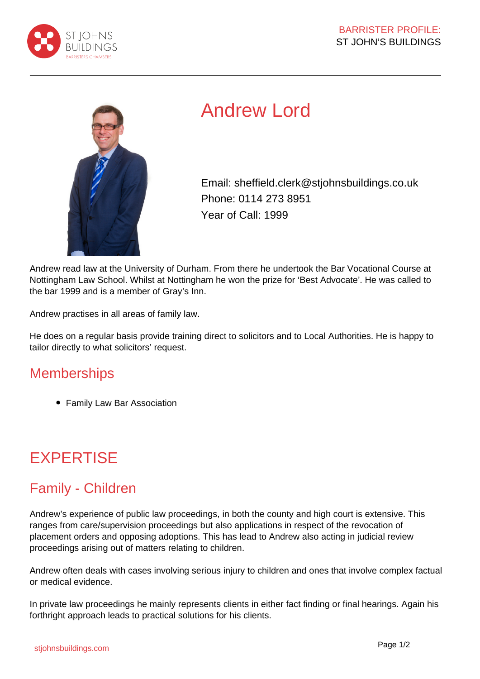



# Andrew Lord

Email: sheffield.clerk@stjohnsbuildings.co.uk Phone: 0114 273 8951 Year of Call: 1999

Andrew read law at the University of Durham. From there he undertook the Bar Vocational Course at Nottingham Law School. Whilst at Nottingham he won the prize for 'Best Advocate'. He was called to the bar 1999 and is a member of Gray's Inn.

Andrew practises in all areas of family law.

He does on a regular basis provide training direct to solicitors and to Local Authorities. He is happy to tailor directly to what solicitors' request.

#### **Memberships**

• Family Law Bar Association

# **EXPERTISE**

### Family - Children

Andrew's experience of public law proceedings, in both the county and high court is extensive. This ranges from care/supervision proceedings but also applications in respect of the revocation of placement orders and opposing adoptions. This has lead to Andrew also acting in judicial review proceedings arising out of matters relating to children.

Andrew often deals with cases involving serious injury to children and ones that involve complex factual or medical evidence.

In private law proceedings he mainly represents clients in either fact finding or final hearings. Again his forthright approach leads to practical solutions for his clients.